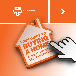

YOUR GUIDE TO

**A checklist for buying a** 

**HOUSE OR APARTMENT IN NSW.** 

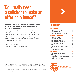# **'Do I really need a solicitor to make an offer on a house'?**

#### **The answer is that buying a home is often the biggest financial decision we'll ever make (especially in Sydney, where property prices can be astronomical).**

So making an offer and entering into a contract for sale without knowing your legal rights can have profound long-term consequences on your finances and your overall quality of life.

This checklist answers common questions about the process for buying a home in NSW and how your solicitor will guide you through each step, including:

- buying at auction
- buying a strata title property
- how the conveyancing process works.

Disclaimer: This publication provides general information of an introductory nature and is not intended and should not be relied upon as a substitute for legal or other professional advice. While every care has been taken in the production of this publication, no legal responsibility or liability is accepted, warranted or implied by the authors or the Law Society of New South Wales and any liability is hereby expressly disclaimed.

© 2012 The Law Society of New South Wales. Except as permitted under the Copyright Act 1968 (Cth), no part of this publication may be reproduced without the specific written permission of the Law Society of New South Wales.

**ContentS**

- ▶ [Buying by private treaty](#page-2-0) 3<br>▶ Buving at auction 3
- 
- Buying at auction 3<br>
Buying an anartment or townhouse 4 [Buying an apartment or townhouse](#page-3-0) 4

### **▶ ONCE YOU'VE DECIDED TO BUY 5**<br>▶ The contract for sale **5**

- The contract for sale  $5$ <br>
Buying on your terms  $5$
- 
- ▶ [Should you pay for inspections?](#page-5-0) 6<br>▶ What's included in the sale? 6
- ▶ What's included in the sale? 6<br>● Your mortgage documents
- Your mortgage documents 6
- ▶ What is exchange? 7<br>▶ Signing the contract isn't always final 7  $\triangleright$  [Signing the contract isn't always final](#page-6-0) 7<br> $\triangleright$  The first home owners grant 8
- $\blacktriangleright$  [The first home owners grant](#page-7-0)
- ▶ Stamp Duty and other tax 8

#### **Finalising the sale 9**

- $\blacktriangleright$  [What exactly are you buying?](#page-8-0)  $\hspace{1.6cm}9$
- ▶ What happens at settlement? 9
- ▶ Do you need to be present at settlement? 10
- $\blacktriangleright$  Get in touch with a solicitor  $\blacksquare$

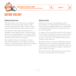<span id="page-2-0"></span>

**A checklist for buying a house or apartment in New South Wales**



### **Before you buy**

### **Buying by private treaty**

The most common way to buy a house or apartment in NSW is by private treaty. This is where a seller advertises the amount they'd like to achieve for their property and then negotiates with prospective buyers.

The contract for sale becomes activated once you exchange contracts with the seller. At this time you'll also have to pay the full deposit on your place (usually 10% minus any holding deposit you've paid). However, this doesn't always mean you're locked in.

The standard contract for sale includes a 'cooling off' period during which you can change your mind. However, your solicitor can have this waived by signing a certificate and explaining the contract to you.

### **Buying at auction**

Auctions can sometimes seem daunting; not least because there's no cooling off period. If the gavel comes down and you're the highest bidder you're usually bound to go through with the purchase, no matter how unfair the contract might be.

So long as you have your solicitor look over the contract for sale before you bid there's no reason an auction needs to be any riskier than buying by private treaty (so long, of course, as you stick to your budget and don't get too caught up in the moment!).

Before the auction, your solicitor will identify any terms that might not be in your favour and negotiate with the vendor's solicitor to change them. They'll also make sure you're buying exactly what you intended to and that it's in the condition you expect.

That way if your bid is the winning one, you can be sure the contract you sign will be in your interests.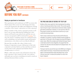<span id="page-3-0"></span>

### **BEFORE YOU BUY CONTINUED**

#### **Buying an apartment or townhouse**

Most apartments and townhouses in NSW are strata title which means when you're not only buying real estate, you're also buying into the rights and obligations of being a member of the owners' corporation (or body corporate).

Being a member of the owners corporation means you'll have a say on issues affecting the building but it also means you'll need to pay strata levies and the way you can use your property will be restricted b[y by-laws. Y](#page-9-0)ou may also need to contribute money for communal issues, such as plumbing, roof and window repair and property maintenance, even when you're not directly affected.

Because this can affect the value of what you're buying, it's important you get a full picture of the body corporate's activities before you buy and that you know exactly what work is planned and whether there's enough money to cover it.

While a seller must attach some information about the body corporate to the contract for sale, your solicitor will make sure you have everything you need to reach an informed decision before you buy.

### **The pros and cons of buying 'off the plan'**

Builders often raise capital for their development by selling units or townhouses before they're built. This can be a great way for buyers to get a reduced price and even make a capital gain before settlement. However, it's not risk free. After all, the property market can move down as well as up, so you could end up losing money.

There's also a chance you may not end up with what you intended. For instance, recently a Sydney investor bought an apartment 'off the plan' after the agent promised 180-degree water views. When the complex was finished the buyer found a wall obstructed his view altogether. He argued that the contract for sale was void and asked for his deposit back. The builders refused.

The buyer took his case all the way to the NSW Court of Appeal, which ruled in his favour. It found that he had relied on the agent's misrepresentation when deciding to buy, so the contract was void. It ordered the builders to return the buyer's deposit.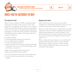<span id="page-4-0"></span>



### **Once you've decided to buy**

### **The contract for sale**

When you buy a property in NSW your rights depend, in large part, on what's in the contract for sale. And because no two properties are the same, no two contracts will be the same either. However, there are some things a contract for sale must do, including properly identifying the property as well as the terms on which it's being sold. It should also attach a number of documents, the most common of which are:

- a zoning certificate
- a drainage diagram showing any sewer lines
- a copy of the property certificate
- a copy of the plan for the land
- • copies of any documents showing easements (the right of someone else to cross or use the land), rights of way, restrictions, covenants, etc.

Sellers of strata properties (generally units or townhouses) should also have attached:

- a copy of the property certificate and strata plan, and
- a copy of by-laws concerning the use of common property.

### **Buying on your terms**

Many of the terms in any contract for sale will be 'standard' ones, which means that they've been in use for a long time and are fair to both seller and buyer.

However, a seller doesn't have to include these terms and instead may choose to include something in the contract which favours themselves at a buyer's expense. That's why the first thing your solicitor will do is make sure that the contract for sale isn't just legal, but that it also isn't unfair to you.

Where a clause isn't in your interests, your solicitor will negotiate with the seller's solicitor to get it changed. This includes working out a time to 'settle' the sale, which is when you'll pay the balance owing and take ownership of the property.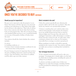<span id="page-5-0"></span>

**A checklist for buying a house or apartment in New South Wales**



### **ONCE YOU'VE DECIDED TO BUY CONTINUED**

#### **Should you pay for inspections?**

Because you're expected to take the property 'as you find it' that means you'll also sign up to any structural problems, pest infestations or other defects that might not be obvious to the naked eye. That's why it's always best to have someone who knows what they're doing look over the property first. After all, you may be paying a few hundred dollars up front to save yourself thousands, or even tens of thousands of dollars of bother down the track.

Your solicitor should also check whether the contract includes:

- a survey
- a building certificate, or
- a home owner's warranty insurance certificate for any renovations done at the property.

If you're buying at auction it's important that you have any pest or building inspections carried out before the auction. Once the hammer comes down it's unlikely you'll be able to get out of the contract.

#### **What's included in the sale?**

Unless the contract specifically says otherwise the property will be sold 'in the state you find it'. That also means any 'fixtures' are automatically included.

A fixture is anything that can't easily be taken away without doing damage to the property. For instance, stoves are usually fixtures because they're wired in, whereas fridges aren't because they only need to be unplugged. Sometimes a seller will attempt to exclude a fixture from the contract for sale. At other times, what constitutes a fixture isn't so clear cut. For instance, removable floor coverings or an above ground pool.

Where anything is in doubt, it should be expressly included in the contract for sale. Your solicitor will help you make sure you know everything that's included in the sale.

#### **Your mortgage documents**

To buy a property most people will need to take out a mortgage. A mortgage gives a lender rights over the land for which they're lending money, including the option of selling it if you default.

A solicitor can help you make sense of what your obligations are under the mortgage, including whether you'll be penalised for refinancing or paying out your loan early.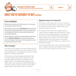<span id="page-6-0"></span>

## **ONCE YOU'VE DECIDED TO BUY CONTINUED**

### **Types of ownership**

When you buy a property with another person, there's usually two ways you can choose to own it.

Most couples choose to buy as **Joint Tenants** which means they own the whole property jointly and if one person dies the other is immediately entitled to the whole property (regardless of what any Will might say).

Business partners or people not closely related usually choose to buy as **Tenants in Common** which means they each own a share in the property. That share can then be passed on or sold to anyone and can be left in a Will.

### **What is exchange?**

A contract to sell a property becomes binding when the buyer and seller each sign a copy of the contract for sale and exchange them. At exchange, the buyer also usually hands over a deposit (often 10%).

At an auction, exchange happens immediately after the winning bid is accepted. For private treaty sales, exchange usually means that you will deliver your signed contract to the seller's agent and pick up the seller's signed copy. Sometimes a seller will be happy to exchange contracts by mail, in which case the seller's signed contract will be delivered to your solicitor.

### **Signing the contract isn't always final**

Sometimes you'll be able to get out of the contract for sale and get your deposit back, even when you've signed the contract for sale (and that includes when you've bought a property at auction).

For instance, sellers must always comply with the 'vendor disclosure requirements and warranties'. These rules force anyone selling a property to let prospective buyers know certain information about the property they're selling in the contract for sale. This includes making promises about the property and attaching certificates that reveal such things as any rights of way, drainage and zoning.

Your solicitor will be able to tell you whether the seller hasn't complied with these and whether you'll be able to recover your money and pull out of the contract.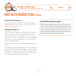<span id="page-7-0"></span>

### **ONCE YOU'VE DECIDED TO BUY CONTINUED**

### **The first home owners grant**

If you're buying your first home, you may be entitled to a little help from the government. Find out more at the [Office of State Revenue.](http://www.osr.nsw.gov.au/benefits/first_home/) 

### **Stamp Duty and other tax**

In NSW the sale of property is taxed. This tax takes the form of stamp duty, which is calculated based on the price of the property. You will need to pay stamp duty at settlement. However, your obligation to pay is sometimes waived if you're a first home buyer or if you're buying a newly constructed home.

For more information visit the Office of State Revenue [website.](http://www.osr.nsw.gov.au)

If a property isn't purely residential in its nature, the sale may incur GST. Investment properties can also be subject to Land Tax. It's important your solicitor goes through the contract for sale to make sure the cost of these taxes it isn't unfairly passed onto you as the buyer.

### WHAT HAPPENS **REHIND THE SCENES?**

While you're getting ready to move into your new house your solicitor will be working hard so that everything works in your favour. To make sure the seller hasn't left something out of the contract they'll be carrying out a whole lot of enquiries like a fuller zoning enquiry, land tax and RTA proposal enquiries and enquiries with other government departments.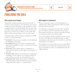<span id="page-8-0"></span>

### **Finalising the sale**

### **What exactly are you buying?**

Technically, owning a property means having 'title' to it. From a practical point of view this means once you've bought your name will appear on the Certificate of Title (sometimes known as the title deed). Because most land in NSW operates under Torrens Title your solicitor will then have to register this certificate at the Lands Title Office so that everyone knows you're now the owner.

Generally, when you buy a house or apartment in NSW you get one of the following:

- • **Freehold** which gives you ownership over the land and the buildings on that land
- • **Leasehold** which means you have ownership of the land and the buildings on it for a certain period of time (often 99 years)
- **Strata title** which usually applies to apartments or town houses and gives you the rights to the airspace in your unit
- • **Company title** another, less common way of apartment ownership. You buy 'shares' in a company and this, in turn, entitles you to the use of an apartment, and
- • **Community title** which often works in combination with strata title on large developments gives you rights – along with other owners – to common land.

### **What happens at settlement?**

When you sign the contract you'll usually agree to a settlement day. Most commonly this will be six weeks after the date of exchange.

At settlement you'll need to pay the seller everything you owe them to 'settle' the purchase of your home. This amount will take into account any utility bill and tax calculations that your solicitor makes.

If you can't settle by the date stipulated in the contract for sale, you're likely to be charged interest. In some circumstances, the seller may even be able to cancel the sale and keep your deposit.

You should let your solicitor know as soon as possible if it looks like you can't make the settlement date so that they can attempt to come to an arrangement with the seller's solicitor.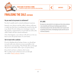<span id="page-9-0"></span>

### **FINALISING THE SALE CONTINUED**

#### **Do you need to be present at settlement?**

You don't usually need to attend settlement in person.

Instead, your solicitor and the seller's solicitor will meet to make sure they have everything they need for the sale to go ahead. If you're taking out a mortgage to pay for the property a representative of your bank (as well as the seller's bank) will also attend settlement.

Once that happens, your solicitor will call you to let you know you're the proud owner of a new home.

#### **Get in touch with a solicitor**

If you're thinking about buying a home, you should get in touch with your solicitor as soon as possible to let them know you're looking. They'll help talk you through the process and will be able to give you great advice.

If you don't yet have a solicitor, don't worry. We've made it easy to find one near you through our online '[Find a solicitor](http://www.lawsociety.com.au)' service.

### **By-laws**

By-laws are rules which try to make sure the strata scheme runs smoothly and that your building is generally be a harmonious place to live. By-laws often cover issues such as parking restrictions, the keeping of pets and the use of common property.